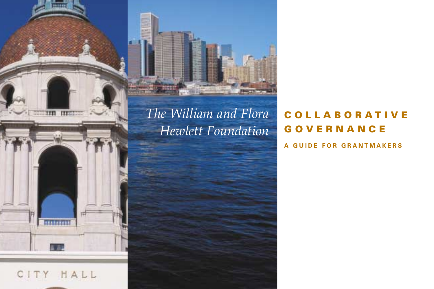





# *The William and Flora Hewlett Foundation*

# **COLLABORATIVE GOVERNANCE**

**A GUIDE FOR GRANTMAKERS**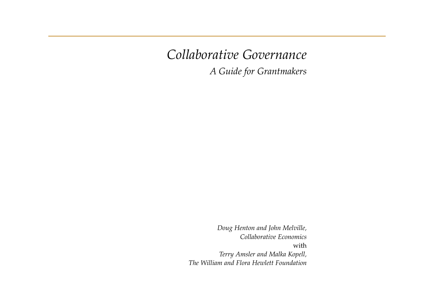*Collaborative Governance*

*A Guide for Grantmakers*

*Doug Henton and John Melville, Collaborative Economics* with *Terry Amsler and Malka Kopell, The William and Flora Hewlett Foundation*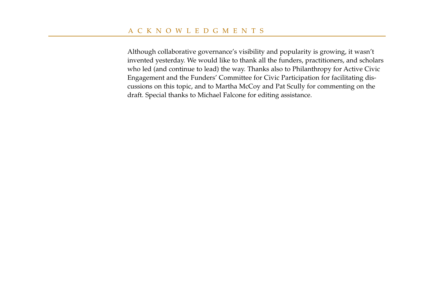Although collaborative governance's visibility and popularity is growing, it wasn't invented yesterday. We would like to thank all the funders, practitioners, and scholars who led (and continue to lead) the way. Thanks also to Philanthropy for Active Civic Engagement and the Funders' Committee for Civic Participation for facilitating discussions on this topic, and to Martha McCoy and Pat Scully for commenting on the draft. Special thanks to Michael Falcone for editing assistance.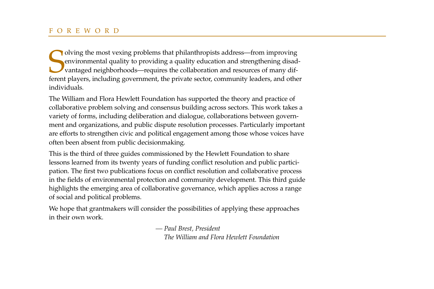Olving the most vexing problems that philanthropists address—from improving environmental quality to providing a quality education and strengthening disadvantaged neighborhoods—requires the collaboration and resources of m olving the most vexing problems that philanthropists address—from improving environmental quality to providing a quality education and strengthening disadvantaged neighborhoods—requires the collaboration and resources of many difindividuals.

The William and Flora Hewlett Foundation has supported the theory and practice of collaborative problem solving and consensus building across sectors. This work takes a variety of forms, including deliberation and dialogue, collaborations between government and organizations, and public dispute resolution processes. Particularly important are efforts to strengthen civic and political engagement among those whose voices have often been absent from public decisionmaking.

This is the third of three guides commissioned by the Hewlett Foundation to share lessons learned from its twenty years of funding conflict resolution and public participation. The first two publications focus on conflict resolution and collaborative process in the fields of environmental protection and community development. This third guide highlights the emerging area of collaborative governance, which applies across a range of social and political problems.

We hope that grantmakers will consider the possibilities of applying these approaches in their own work.

> *— Paul Brest, President The William and Flora Hewlett Foundation*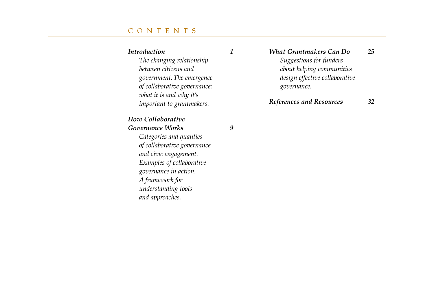# CONTENTS

## *Introduction 1*

*The changing relationship between citizens and government. The emergence of collaborative governance: what it is and why it's important to grantmakers.*

## *How Collaborative Governance Works 9*

*Categories and qualities of collaborative governance and civic engagement. Examples of collaborative governance in action. A framework for understanding tools and approaches.*

*What Grantmakers Can Do 25 Suggestions for funders about helping communities design effective collaborative governance.*

# *References and Resources 32*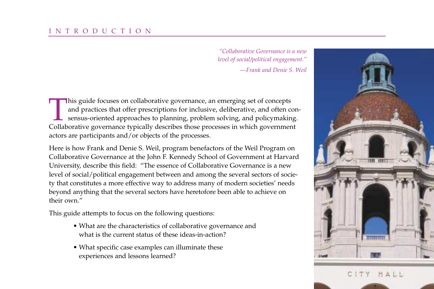*"Collaborative Governance is a new level of social/political engagement."*

*—Frank and Denie S. Weil*

This guide focuses on collaborative governance, an emerging set of concepts<br>and practices that offer prescriptions for inclusive, deliberative, and often c<br>sensus-oriented approaches to planning, problem solving, and polic and practices that offer prescriptions for inclusive, deliberative, and often consensus-oriented approaches to planning, problem solving, and policymaking. Collaborative governance typically describes those processes in which government actors are participants and/or objects of the processes.

Here is how Frank and Denie S. Weil, program benefactors of the Weil Program on Collaborative Governance at the John F. Kennedy School of Government at Harvard University, describe this field: "The essence of Collaborative Governance is a new level of social/political engagement between and among the several sectors of society that constitutes a more effective way to address many of modern societies' needs beyond anything that the several sectors have heretofore been able to achieve on their own."

This guide attempts to focus on the following questions:

- What are the characteristics of collaborative governance and what is the current status of these ideas-in-action?
- What specific case examples can illuminate these experiences and lessons learned?

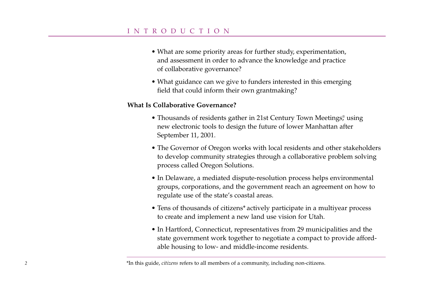# INTRODUCTION

- What are some priority areas for further study, experimentation, and assessment in order to advance the knowledge and practice of collaborative governance?
- What guidance can we give to funders interested in this emerging field that could inform their own grantmaking?

#### **What Is Collaborative Governance?**

- Thousands of residents gather in 21st Century Town Meetings,<sup>®</sup> using new electronic tools to design the future of lower Manhattan after September 11, 2001.
- The Governor of Oregon works with local residents and other stakeholders to develop community strategies through a collaborative problem solving process called Oregon Solutions.
- In Delaware, a mediated dispute-resolution process helps environmental groups, corporations, and the government reach an agreement on how to regulate use of the state's coastal areas.
- Tens of thousands of citizens\* actively participate in a multiyear process to create and implement a new land use vision for Utah.
- In Hartford, Connecticut, representatives from 29 municipalities and the state government work together to negotiate a compact to provide affordable housing to low- and middle-income residents.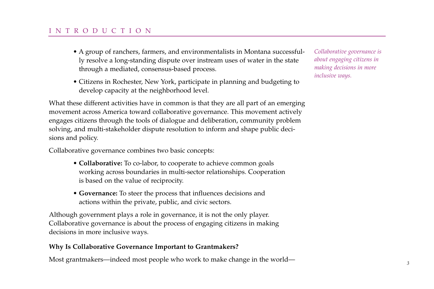# INTRODUCTION

- A group of ranchers, farmers, and environmentalists in Montana successfully resolve a long-standing dispute over instream uses of water in the state through a mediated, consensus-based process.
- Citizens in Rochester, New York, participate in planning and budgeting to develop capacity at the neighborhood level.

What these different activities have in common is that they are all part of an emerging movement across America toward collaborative governance. This movement actively engages citizens through the tools of dialogue and deliberation, community problem solving, and multi-stakeholder dispute resolution to inform and shape public decisions and policy.

Collaborative governance combines two basic concepts:

- **Collaborative:** To co-labor, to cooperate to achieve common goals working across boundaries in multi-sector relationships. Cooperation is based on the value of reciprocity.
- **Governance:** To steer the process that influences decisions and actions within the private, public, and civic sectors.

Although government plays a role in governance, it is not the only player. Collaborative governance is about the process of engaging citizens in making decisions in more inclusive ways.

# **Why Is Collaborative Governance Important to Grantmakers?**

Most grantmakers—indeed most people who work to make change in the world— *<sup>3</sup>*

*Collaborative governance is about engaging citizens in making decisions in more inclusive ways.*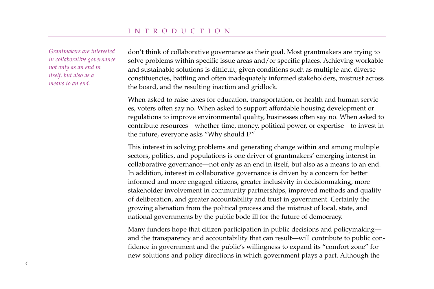*Grantmakers are interested in collaborative governance not only as an end in itself, but also as a means to an end.*

don't think of collaborative governance as their goal. Most grantmakers are trying to solve problems within specific issue areas and/or specific places. Achieving workable and sustainable solutions is difficult, given conditions such as multiple and diverse constituencies, battling and often inadequately informed stakeholders, mistrust across the board, and the resulting inaction and gridlock.

When asked to raise taxes for education, transportation, or health and human services, voters often say no. When asked to support affordable housing development or regulations to improve environmental quality, businesses often say no. When asked to contribute resources—whether time, money, political power, or expertise—to invest in the future, everyone asks "Why should I?"

This interest in solving problems and generating change within and among multiple sectors, polities, and populations is one driver of grantmakers' emerging interest in collaborative governance—not only as an end in itself, but also as a means to an end. In addition, interest in collaborative governance is driven by a concern for better informed and more engaged citizens, greater inclusivity in decisionmaking, more stakeholder involvement in community partnerships, improved methods and quality of deliberation, and greater accountability and trust in government. Certainly the growing alienation from the political process and the mistrust of local, state, and national governments by the public bode ill for the future of democracy.

Many funders hope that citizen participation in public decisions and policymaking and the transparency and accountability that can result—will contribute to public confidence in government and the public's willingness to expand its "comfort zone" for new solutions and policy directions in which government plays a part. Although the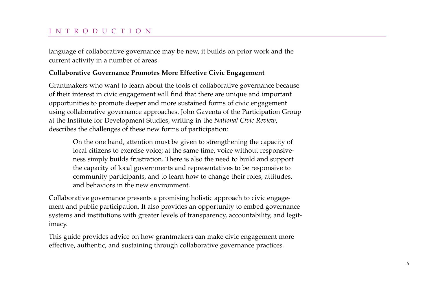# INTRODUCTION

language of collaborative governance may be new, it builds on prior work and the current activity in a number of areas.

## **Collaborative Governance Promotes More Effective Civic Engagement**

Grantmakers who want to learn about the tools of collaborative governance because of their interest in civic engagement will find that there are unique and important opportunities to promote deeper and more sustained forms of civic engagement using collaborative governance approaches. John Gaventa of the Participation Group at the Institute for Development Studies, writing in the *National Civic Review*, describes the challenges of these new forms of participation:

On the one hand, attention must be given to strengthening the capacity of local citizens to exercise voice; at the same time, voice without responsiveness simply builds frustration. There is also the need to build and support the capacity of local governments and representatives to be responsive to community participants, and to learn how to change their roles, attitudes, and behaviors in the new environment.

Collaborative governance presents a promising holistic approach to civic engagement and public participation. It also provides an opportunity to embed governance systems and institutions with greater levels of transparency, accountability, and legitimacy.

This guide provides advice on how grantmakers can make civic engagement more effective, authentic, and sustaining through collaborative governance practices.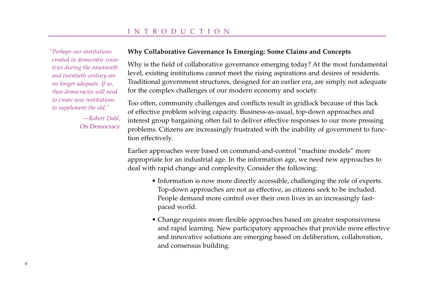*"Perhaps our institutions created in democratic countries during the nineteenth and twentieth century are no longer adequate. If so, then democracies will need to create new institutions to supplement the old."*

> *—Robert Dahl,*  On Democracy

#### **Why Collaborative Governance Is Emerging: Some Claims and Concepts**

Why is the field of collaborative governance emerging today? At the most fundamental level, existing institutions cannot meet the rising aspirations and desires of residents. Traditional government structures, designed for an earlier era, are simply not adequate for the complex challenges of our modern economy and society.

Too often, community challenges and conflicts result in gridlock because of this lack of effective problem solving capacity. Business-as-usual, top-down approaches and interest group bargaining often fail to deliver effective responses to our more pressing problems. Citizens are increasingly frustrated with the inability of government to function effectively.

Earlier approaches were based on command-and-control "machine models" more appropriate for an industrial age. In the information age, we need new approaches to deal with rapid change and complexity. Consider the following:

- Information is now more directly accessible, challenging the role of experts. Top-down approaches are not as effective, as citizens seek to be included. People demand more control over their own lives in an increasingly fastpaced world.
- Change requires more flexible approaches based on greater responsiveness and rapid learning. New participatory approaches that provide more effective and innovative solutions are emerging based on deliberation, collaboration, and consensus building.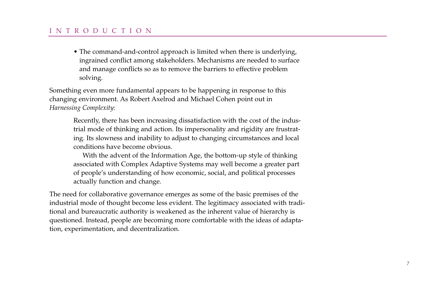# INTRODUCTION

• The command-and-control approach is limited when there is underlying, ingrained conflict among stakeholders. Mechanisms are needed to surface and manage conflicts so as to remove the barriers to effective problem solving.

Something even more fundamental appears to be happening in response to this changing environment. As Robert Axelrod and Michael Cohen point out in *Harnessing Complexity*:

> Recently, there has been increasing dissatisfaction with the cost of the industrial mode of thinking and action. Its impersonality and rigidity are frustrating. Its slowness and inability to adjust to changing circumstances and local conditions have become obvious.

> With the advent of the Information Age, the bottom-up style of thinking associated with Complex Adaptive Systems may well become a greater part of people's understanding of how economic, social, and political processes actually function and change.

The need for collaborative governance emerges as some of the basic premises of the industrial mode of thought become less evident. The legitimacy associated with traditional and bureaucratic authority is weakened as the inherent value of hierarchy is questioned. Instead, people are becoming more comfortable with the ideas of adaptation, experimentation, and decentralization.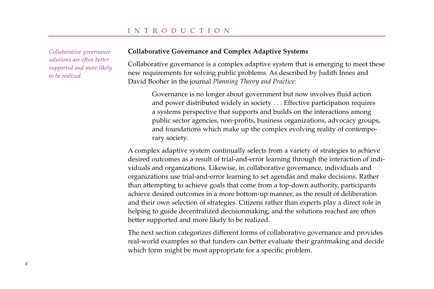*Collaborative governance solutions are often better supported and more likely to be realized.*

#### **Collaborative Governance and Complex Adaptive Systems**

Collaborative governance is a complex adaptive system that is emerging to meet these new requirements for solving public problems. As described by Judith Innes and David Booher in the journal *Planning Theory and Practice:*

Governance is no longer about government but now involves fluid action and power distributed widely in society . . . Effective participation requires a systems perspective that supports and builds on the interactions among public sector agencies, non-profits, business organizations, advocacy groups, and foundations which make up the complex evolving reality of contemporary society.

A complex adaptive system continually selects from a variety of strategies to achieve desired outcomes as a result of trial-and-error learning through the interaction of individuals and organizations. Likewise, in collaborative governance, individuals and organizations use trial-and-error learning to set agendas and make decisions. Rather than attempting to achieve goals that come from a top-down authority, participants achieve desired outcomes in a more bottom-up manner, as the result of deliberation and their own selection of strategies. Citizens rather than experts play a direct role in helping to guide decentralized decisionmaking, and the solutions reached are often better supported and more likely to be realized.

The next section categorizes different forms of collaborative governance and provides real-world examples so that funders can better evaluate their grantmaking and decide which form might be most appropriate for a specific problem.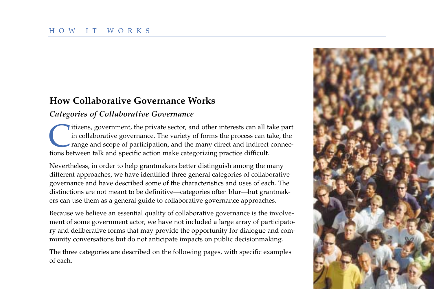# **How Collaborative Governance Works**

# *Categories of Collaborative Governance*

Itizens, government, the private sector, and other interests can all take part<br>in collaborative governance. The variety of forms the process can take, the<br>range and scope of participation, and the many direct and indirect in collaborative governance. The variety of forms the process can take, the range and scope of participation, and the many direct and indirect connections between talk and specific action make categorizing practice difficult.

Nevertheless, in order to help grantmakers better distinguish among the many different approaches, we have identified three general categories of collaborative governance and have described some of the characteristics and uses of each. The distinctions are not meant to be definitive—categories often blur—but grantmakers can use them as a general guide to collaborative governance approaches.

Because we believe an essential quality of collaborative governance is the involvement of some government actor, we have not included a large array of participatory and deliberative forms that may provide the opportunity for dialogue and community conversations but do not anticipate impacts on public decisionmaking.

The three categories are described on the following pages, with specific examples of each.

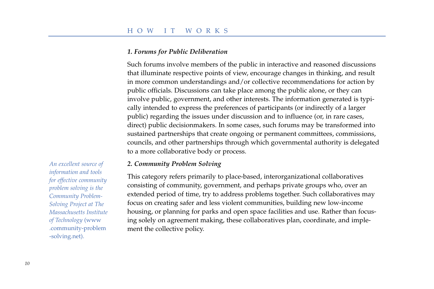## *1. Forums for Public Deliberation*

Such forums involve members of the public in interactive and reasoned discussions that illuminate respective points of view, encourage changes in thinking, and result in more common understandings and/or collective recommendations for action by public officials. Discussions can take place among the public alone, or they can involve public, government, and other interests. The information generated is typically intended to express the preferences of participants (or indirectly of a larger public) regarding the issues under discussion and to influence (or, in rare cases, direct) public decisionmakers. In some cases, such forums may be transformed into sustained partnerships that create ongoing or permanent committees, commissions, councils, and other partnerships through which governmental authority is delegated to a more collaborative body or process.

#### *2. Community Problem Solving*

This category refers primarily to place-based, interorganizational collaboratives consisting of community, government, and perhaps private groups who, over an extended period of time, try to address problems together. Such collaboratives may focus on creating safer and less violent communities, building new low-income housing, or planning for parks and open space facilities and use. Rather than focusing solely on agreement making, these collaboratives plan, coordinate, and implement the collective policy.

*An excellent source of information and tools for effective community problem solving is the Community Problem-Solving Project at The Massachusetts Institute of Technology* (www .community-problem -solving.net).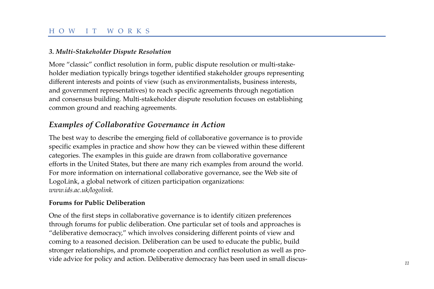# *3. Multi-Stakeholder Dispute Resolution*

More "classic" conflict resolution in form, public dispute resolution or multi-stakeholder mediation typically brings together identified stakeholder groups representing different interests and points of view (such as environmentalists, business interests, and government representatives) to reach specific agreements through negotiation and consensus building. Multi-stakeholder dispute resolution focuses on establishing common ground and reaching agreements.

# *Examples of Collaborative Governance in Action*

The best way to describe the emerging field of collaborative governance is to provide specific examples in practice and show how they can be viewed within these different categories. The examples in this guide are drawn from collaborative governance efforts in the United States, but there are many rich examples from around the world. For more information on international collaborative governance, see the Web site of LogoLink, a global network of citizen participation organizations: *www.ids.ac.uk/logolink.*

# **Forums for Public Deliberation**

One of the first steps in collaborative governance is to identify citizen preferences through forums for public deliberation. One particular set of tools and approaches is "deliberative democracy," which involves considering different points of view and coming to a reasoned decision. Deliberation can be used to educate the public, build stronger relationships, and promote cooperation and conflict resolution as well as provide advice for policy and action. Deliberative democracy has been used in small discus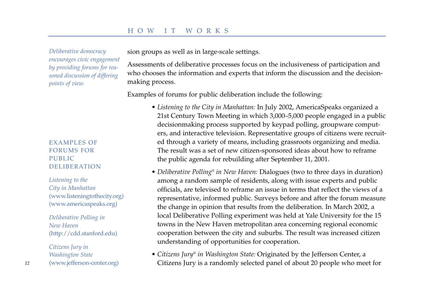*Deliberative democracy encourages civic engagement by providing forums for reasoned discussion of differing points of view.*

# EXAMPLES OF FORUMS FOR PUBLIC DELIBERATION

*Listening to the City in Manhattan* (www.listeningtothecity.org) (www.americaspeaks.org)

*Deliberative Polling in New Haven*  (http://cdd.stanford.edu)

*Citizens Jury in Washington State* (www.jefferson-center.org) sion groups as well as in large-scale settings.

Assessments of deliberative processes focus on the inclusiveness of participation and who chooses the information and experts that inform the discussion and the decisionmaking process.

Examples of forums for public deliberation include the following:

- *Listening to the City in Manhattan:* In July 2002, AmericaSpeaks organized a 21st Century Town Meeting in which 3,000–5,000 people engaged in a public decisionmaking process supported by keypad polling, groupware computers, and interactive television. Representative groups of citizens were recruited through a variety of means, including grassroots organizing and media. The result was a set of new citizen-sponsored ideas about how to reframe the public agenda for rebuilding after September 11, 2001.
- *Deliberative Polling® in New Haven:* Dialogues (two to three days in duration) among a random sample of residents, along with issue experts and public officials, are televised to reframe an issue in terms that reflect the views of a representative, informed public. Surveys before and after the forum measure the change in opinion that results from the deliberation. In March 2002, a local Deliberative Polling experiment was held at Yale University for the 15 towns in the New Haven metropolitan area concerning regional economic cooperation between the city and suburbs. The result was increased citizen understanding of opportunities for cooperation.
- *Citizens Jury® in Washington State:* Originated by the Jefferson Center, a *12* (www.jefferson-center.org) **12** Citizens Jury is a randomly selected panel of about 20 people who meet for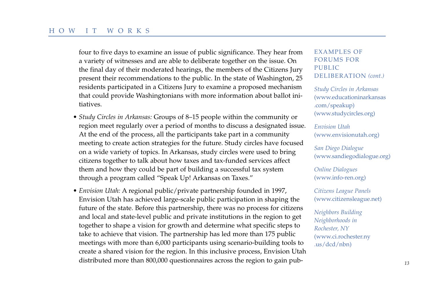four to five days to examine an issue of public significance. They hear from a variety of witnesses and are able to deliberate together on the issue. On the final day of their moderated hearings, the members of the Citizens Jury present their recommendations to the public. In the state of Washington, 25 residents participated in a Citizens Jury to examine a proposed mechanism that could provide Washingtonians with more information about ballot initiatives.

- *Study Circles in Arkansas:* Groups of 8–15 people within the community or region meet regularly over a period of months to discuss a designated issue. At the end of the process, all the participants take part in a community meeting to create action strategies for the future. Study circles have focused on a wide variety of topics. In Arkansas, study circles were used to bring citizens together to talk about how taxes and tax-funded services affect them and how they could be part of building a successful tax system through a program called "Speak Up! Arkansas on Taxes."
- *Envision Utah:* A regional public/private partnership founded in 1997, Envision Utah has achieved large-scale public participation in shaping the future of the state. Before this partnership, there was no process for citizens and local and state-level public and private institutions in the region to get together to shape a vision for growth and determine what specific steps to take to achieve that vision. The partnership has led more than 175 public meetings with more than 6,000 participants using scenario-building tools to create a shared vision for the region. In this inclusive process, Envision Utah distributed more than 800,000 questionnaires across the region to gain pub- *<sup>13</sup>*

# EXAMPLES OF FORUMS FOR PUBLIC DELIBERATION *(cont.)*

*Study Circles in Arkansas* (www.educationinarkansas .com/speakup) (www.studycircles.org)

*Envision Utah* (www.envisionutah.org)

*San Diego Dialogue* (www.sandiegodialogue.org)

*Online Dialogues* (www.info-ren.org)

*Citizens League Panels* (www.citizensleague.net)

*Neighbors Building Neighborhoods in Rochester, NY* (www.ci.rochester.ny .us/dcd/nbn)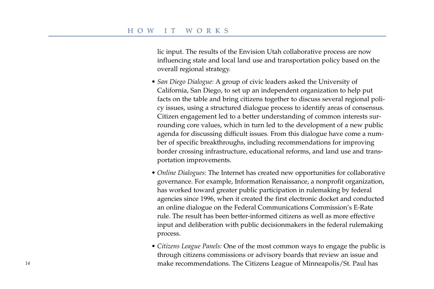lic input. The results of the Envision Utah collaborative process are now influencing state and local land use and transportation policy based on the overall regional strategy.

- *San Diego Dialogue:* A group of civic leaders asked the University of California, San Diego, to set up an independent organization to help put facts on the table and bring citizens together to discuss several regional policy issues, using a structured dialogue process to identify areas of consensus. Citizen engagement led to a better understanding of common interests surrounding core values, which in turn led to the development of a new public agenda for discussing difficult issues. From this dialogue have come a number of specific breakthroughs, including recommendations for improving border crossing infrastructure, educational reforms, and land use and transportation improvements.
- *Online Dialogues:* The Internet has created new opportunities for collaborative governance. For example, Information Renaissance, a nonprofit organization, has worked toward greater public participation in rulemaking by federal agencies since 1996, when it created the first electronic docket and conducted an online dialogue on the Federal Communications Commission's E-Rate rule. The result has been better-informed citizens as well as more effective input and deliberation with public decisionmakers in the federal rulemaking process.
- *Citizens League Panels:* One of the most common ways to engage the public is through citizens commissions or advisory boards that review an issue and *<sup>14</sup>* make recommendations. The Citizens League of Minneapolis/St. Paul has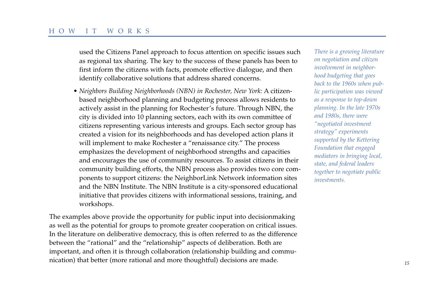used the Citizens Panel approach to focus attention on specific issues such as regional tax sharing. The key to the success of these panels has been to first inform the citizens with facts, promote effective dialogue, and then identify collaborative solutions that address shared concerns.

• *Neighbors Building Neighborhoods (NBN) in Rochester, New York:* A citizenbased neighborhood planning and budgeting process allows residents to actively assist in the planning for Rochester's future. Through NBN, the city is divided into 10 planning sectors, each with its own committee of citizens representing various interests and groups. Each sector group has created a vision for its neighborhoods and has developed action plans it will implement to make Rochester a "renaissance city." The process emphasizes the development of neighborhood strengths and capacities and encourages the use of community resources. To assist citizens in their community building efforts, the NBN process also provides two core components to support citizens: the NeighborLink Network information sites and the NBN Institute. The NBN Institute is a city-sponsored educational initiative that provides citizens with informational sessions, training, and workshops.

The examples above provide the opportunity for public input into decisionmaking as well as the potential for groups to promote greater cooperation on critical issues. In the literature on deliberative democracy, this is often referred to as the difference between the "rational" and the "relationship" aspects of deliberation. Both are important, and often it is through collaboration (relationship building and communication) that better (more rational and more thoughtful) decisions are made. *<sup>15</sup>*

*There is a growing literature on negotiation and citizen involvement in neighborhood budgeting that goes back to the 1960s when public participation was viewed as a response to top-down planning. In the late 1970s and 1980s, there were "negotiated investment strategy" experiments supported by the Kettering Foundation that engaged mediators in bringing local, state, and federal leaders together to negotiate public investments.*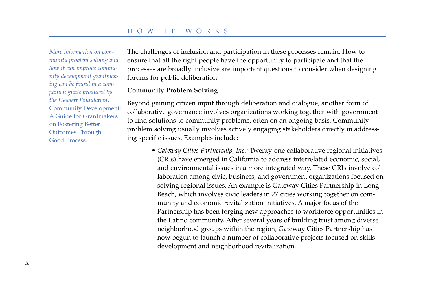*More information on community problem solving and how it can improve community development grantmaking can be found in a companion guide produced by the Hewlett Foundation,* Community Development: A Guide for Grantmakers on Fostering Better Outcomes Through Good Process.

The challenges of inclusion and participation in these processes remain. How to ensure that all the right people have the opportunity to participate and that the processes are broadly inclusive are important questions to consider when designing forums for public deliberation.

#### **Community Problem Solving**

Beyond gaining citizen input through deliberation and dialogue, another form of collaborative governance involves organizations working together with government to find solutions to community problems, often on an ongoing basis. Community problem solving usually involves actively engaging stakeholders directly in addressing specific issues. Examples include:

• *Gateway Cities Partnership, Inc.:* Twenty-one collaborative regional initiatives (CRIs) have emerged in California to address interrelated economic, social, and environmental issues in a more integrated way. These CRIs involve collaboration among civic, business, and government organizations focused on solving regional issues. An example is Gateway Cities Partnership in Long Beach, which involves civic leaders in 27 cities working together on community and economic revitalization initiatives. A major focus of the Partnership has been forging new approaches to workforce opportunities in the Latino community. After several years of building trust among diverse neighborhood groups within the region, Gateway Cities Partnership has now begun to launch a number of collaborative projects focused on skills development and neighborhood revitalization.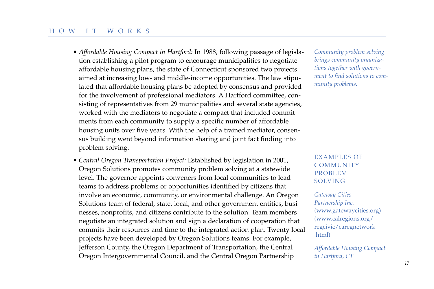- *Affordable Housing Compact in Hartford:* In 1988, following passage of legislation establishing a pilot program to encourage municipalities to negotiate affordable housing plans, the state of Connecticut sponsored two projects aimed at increasing low- and middle-income opportunities. The law stipulated that affordable housing plans be adopted by consensus and provided for the involvement of professional mediators. A Hartford committee, consisting of representatives from 29 municipalities and several state agencies, worked with the mediators to negotiate a compact that included commitments from each community to supply a specific number of affordable housing units over five years. With the help of a trained mediator, consensus building went beyond information sharing and joint fact finding into problem solving.
- *Central Oregon Transportation Project:* Established by legislation in 2001, Oregon Solutions promotes community problem solving at a statewide level. The governor appoints conveners from local communities to lead teams to address problems or opportunities identified by citizens that involve an economic, community, or environmental challenge. An Oregon Solutions team of federal, state, local, and other government entities, businesses, nonprofits, and citizens contribute to the solution. Team members negotiate an integrated solution and sign a declaration of cooperation that commits their resources and time to the integrated action plan. Twenty local projects have been developed by Oregon Solutions teams. For example, Jefferson County, the Oregon Department of Transportation, the Central Oregon Intergovernmental Council, and the Central Oregon Partnership

*Community problem solving brings community organizations together with government to find solutions to community problems.*

# EXAMPLES OF COMMUNITY PROBLEM SOLVING

*Gateway Cities Partnership Inc.* (www.gatewaycities.org) (www.calregions.org/ regcivic/caregnetwork .html)

*Affordable Housing Compact in Hartford, CT*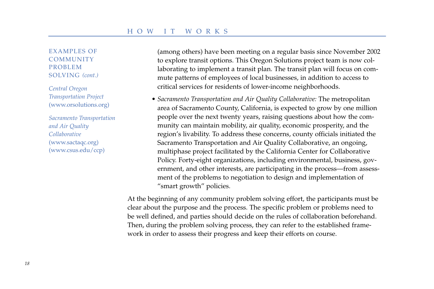EXAMPLES OF **COMMUNITY** PROBLEM SOLVING *(cont.)*

*Central Oregon Transportation Project* (www.orsolutions.org)

*Sacramento Transportation and Air Quality Collaborative* (www.sactaqc.org) (www.csus.edu/ccp)

(among others) have been meeting on a regular basis since November 2002 to explore transit options. This Oregon Solutions project team is now collaborating to implement a transit plan. The transit plan will focus on commute patterns of employees of local businesses, in addition to access to critical services for residents of lower-income neighborhoods.

• *Sacramento Transportation and Air Quality Collaborative:* The metropolitan area of Sacramento County, California, is expected to grow by one million people over the next twenty years, raising questions about how the community can maintain mobility, air quality, economic prosperity, and the region's livability. To address these concerns, county officials initiated the Sacramento Transportation and Air Quality Collaborative, an ongoing, multiphase project facilitated by the California Center for Collaborative Policy. Forty-eight organizations, including environmental, business, government, and other interests, are participating in the process—from assessment of the problems to negotiation to design and implementation of "smart growth" policies.

At the beginning of any community problem solving effort, the participants must be clear about the purpose and the process. The specific problem or problems need to be well defined, and parties should decide on the rules of collaboration beforehand. Then, during the problem solving process, they can refer to the established framework in order to assess their progress and keep their efforts on course.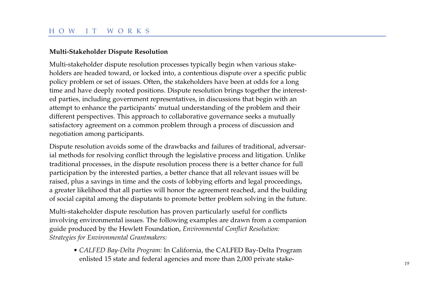# HOW IT WORKS

#### **Multi-Stakeholder Dispute Resolution**

Multi-stakeholder dispute resolution processes typically begin when various stakeholders are headed toward, or locked into, a contentious dispute over a specific public policy problem or set of issues. Often, the stakeholders have been at odds for a long time and have deeply rooted positions. Dispute resolution brings together the interested parties, including government representatives, in discussions that begin with an attempt to enhance the participants' mutual understanding of the problem and their different perspectives. This approach to collaborative governance seeks a mutually satisfactory agreement on a common problem through a process of discussion and negotiation among participants.

Dispute resolution avoids some of the drawbacks and failures of traditional, adversarial methods for resolving conflict through the legislative process and litigation. Unlike traditional processes, in the dispute resolution process there is a better chance for full participation by the interested parties, a better chance that all relevant issues will be raised, plus a savings in time and the costs of lobbying efforts and legal proceedings, a greater likelihood that all parties will honor the agreement reached, and the building of social capital among the disputants to promote better problem solving in the future.

Multi-stakeholder dispute resolution has proven particularly useful for conflicts involving environmental issues. The following examples are drawn from a companion guide produced by the Hewlett Foundation, *Environmental Conflict Resolution: Strategies for Environmental Grantmakers:*

• *CALFED Bay-Delta Program:* In California, the CALFED Bay-Delta Program enlisted 15 state and federal agencies and more than 2,000 private stake- *<sup>19</sup>*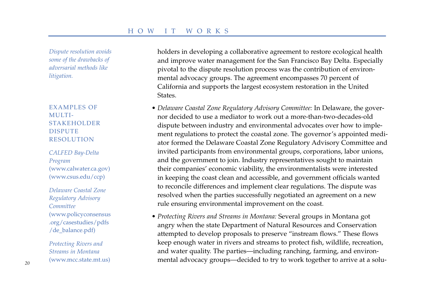*Dispute resolution avoids some of the drawbacks of adversarial methods like litigation.*

EXAMPLES OF MULTI-STAKEHOLDER DISPUTE RESOLUTION

*CALFED Bay-Delta Program* (www.calwater.ca.gov) (www.csus.edu/ccp)

*Delaware Coastal Zone Regulatory Advisory Committee* (www.policyconsensus .org/casestudies/pdfs /de\_balance.pdf)

*Protecting Rivers and Streams in Montana* (www.mcc.state.mt.us) holders in developing a collaborative agreement to restore ecological health and improve water management for the San Francisco Bay Delta. Especially pivotal to the dispute resolution process was the contribution of environmental advocacy groups. The agreement encompasses 70 percent of California and supports the largest ecosystem restoration in the United **States** 

- *Delaware Coastal Zone Regulatory Advisory Committee:* In Delaware, the governor decided to use a mediator to work out a more-than-two-decades-old dispute between industry and environmental advocates over how to implement regulations to protect the coastal zone. The governor's appointed mediator formed the Delaware Coastal Zone Regulatory Advisory Committee and invited participants from environmental groups, corporations, labor unions, and the government to join. Industry representatives sought to maintain their companies' economic viability, the environmentalists were interested in keeping the coast clean and accessible, and government officials wanted to reconcile differences and implement clear regulations. The dispute was resolved when the parties successfully negotiated an agreement on a new rule ensuring environmental improvement on the coast.
- *Protecting Rivers and Streams in Montana:* Several groups in Montana got angry when the state Department of Natural Resources and Conservation attempted to develop proposals to preserve "instream flows." These flows keep enough water in rivers and streams to protect fish, wildlife, recreation, and water quality. The parties—including ranching, farming, and environmental advocacy groups—decided to try to work together to arrive at a solu- *<sup>20</sup>*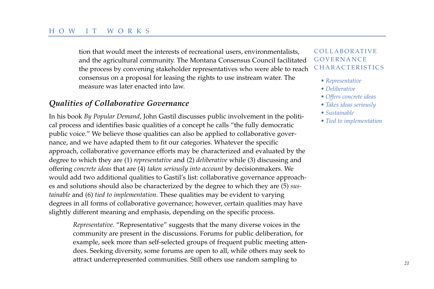tion that would meet the interests of recreational users, environmentalists, and the agricultural community. The Montana Consensus Council facilitated the process by convening stakeholder representatives who were able to reach consensus on a proposal for leasing the rights to use instream water. The measure was later enacted into law.

# *Qualities of Collaborative Governance*

In his book *By Popular Demand*, John Gastil discusses public involvement in the political process and identifies basic qualities of a concept he calls "the fully democratic public voice." We believe those qualities can also be applied to collaborative governance, and we have adapted them to fit our categories. Whatever the specific approach, collaborative governance efforts may be characterized and evaluated by the degree to which they are (1) *representative* and (2) *deliberative* while (3) discussing and offering *concrete ideas* that are (4) *taken seriously into account* by decisionmakers. We would add two additional qualities to Gastil's list: collaborative governance approaches and solutions should also be characterized by the degree to which they are (5) *sustainable* and (6) *tied to implementation*. These qualities may be evident to varying degrees in all forms of collaborative governance; however, certain qualities may have slightly different meaning and emphasis, depending on the specific process.

*Representative.* "Representative" suggests that the many diverse voices in the community are present in the discussions. Forums for public deliberation, for example, seek more than self-selected groups of frequent public meeting attendees. Seeking diversity, some forums are open to all, while others may seek to attract underrepresented communities. Still others use random sampling to *<sup>21</sup>*

## COLLABORATIVE GOVERNANCE **CHARACTERISTICS**

- *Representative*
- *Deliberative*
- *Offers concrete ideas*
- *Takes ideas seriously*
- *Sustainable*
- *Tied to implementation*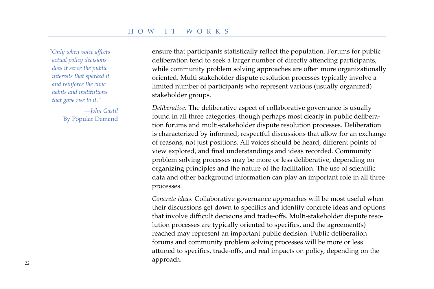*"Only when voice affects actual policy decisions does it serve the public interests that sparked it and reinforce the civic habits and institutions that gave rise to it."*

> *—John Gastil* By Popular Demand

ensure that participants statistically reflect the population. Forums for public deliberation tend to seek a larger number of directly attending participants, while community problem solving approaches are often more organizationally oriented. Multi-stakeholder dispute resolution processes typically involve a limited number of participants who represent various (usually organized) stakeholder groups.

*Deliberative.* The deliberative aspect of collaborative governance is usually found in all three categories, though perhaps most clearly in public deliberation forums and multi-stakeholder dispute resolution processes. Deliberation is characterized by informed, respectful discussions that allow for an exchange of reasons, not just positions. All voices should be heard, different points of view explored, and final understandings and ideas recorded. Community problem solving processes may be more or less deliberative, depending on organizing principles and the nature of the facilitation. The use of scientific data and other background information can play an important role in all three processes.

*Concrete ideas.* Collaborative governance approaches will be most useful when their discussions get down to specifics and identify concrete ideas and options that involve difficult decisions and trade-offs. Multi-stakeholder dispute resolution processes are typically oriented to specifics, and the agreement(s) reached may represent an important public decision. Public deliberation forums and community problem solving processes will be more or less attuned to specifics, trade-offs, and real impacts on policy, depending on the approach. *<sup>22</sup>*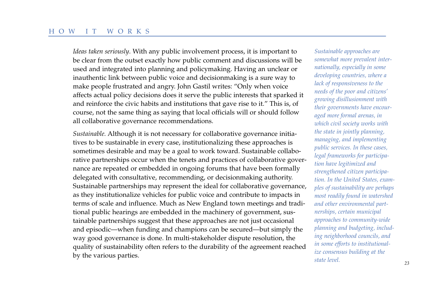*Ideas taken seriously*. With any public involvement process, it is important to be clear from the outset exactly how public comment and discussions will be used and integrated into planning and policymaking. Having an unclear or inauthentic link between public voice and decisionmaking is a sure way to make people frustrated and angry. John Gastil writes: "Only when voice affects actual policy decisions does it serve the public interests that sparked it and reinforce the civic habits and institutions that gave rise to it." This is, of course, not the same thing as saying that local officials will or should follow all collaborative governance recommendations.

*Sustainable.* Although it is not necessary for collaborative governance initiatives to be sustainable in every case, institutionalizing these approaches is sometimes desirable and may be a goal to work toward. Sustainable collaborative partnerships occur when the tenets and practices of collaborative governance are repeated or embedded in ongoing forums that have been formally delegated with consultative, recommending, or decisionmaking authority. Sustainable partnerships may represent the ideal for collaborative governance, as they institutionalize vehicles for public voice and contribute to impacts in terms of scale and influence. Much as New England town meetings and traditional public hearings are embedded in the machinery of government, sustainable partnerships suggest that these approaches are not just occasional and episodic—when funding and champions can be secured—but simply the way good governance is done. In multi-stakeholder dispute resolution, the quality of sustainability often refers to the durability of the agreement reached by the various parties.

*Sustainable approaches are somewhat more prevalent internationally, especially in some developing countries, where a lack of responsiveness to the needs of the poor and citizens' growing disillusionment with their governments have encouraged more formal arenas, in which civil society works with the state in jointly planning, managing, and implementing public services. In these cases, legal frameworks for participation have legitimized and strengthened citizen participation. In the United States, examples of sustainability are perhaps most readily found in watershed and other environmental partnerships, certain municipal approaches to community-wide planning and budgeting, including neighborhood councils, and in some efforts to institutionalize consensus building at the state level.*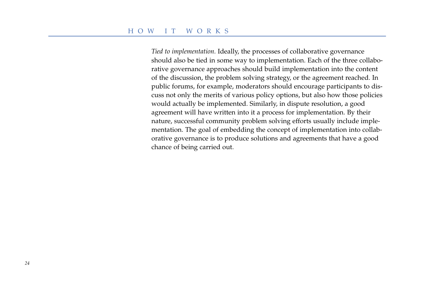*Tied to implementation.* Ideally, the processes of collaborative governance should also be tied in some way to implementation. Each of the three collaborative governance approaches should build implementation into the content of the discussion, the problem solving strategy, or the agreement reached. In public forums, for example, moderators should encourage participants to discuss not only the merits of various policy options, but also how those policies would actually be implemented. Similarly, in dispute resolution, a good agreement will have written into it a process for implementation. By their nature, successful community problem solving efforts usually include implementation. The goal of embedding the concept of implementation into collaborative governance is to produce solutions and agreements that have a good chance of being carried out.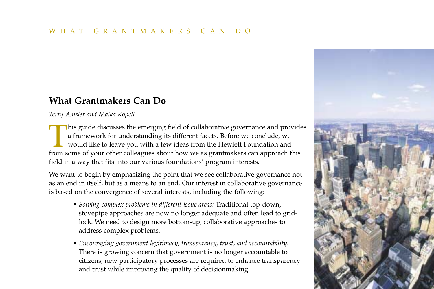# **What Grantmakers Can Do**

*Terry Amsler and Malka Kopell*

This guide discusses the emerging field of collaborative governance and provides a framework for understanding its different facets. Before we conclude, we would like to leave you with a few ideas from the Hewlett Foundati a framework for understanding its different facets. Before we conclude, we would like to leave you with a few ideas from the Hewlett Foundation and from some of your other colleagues about how we as grantmakers can approach this field in a way that fits into our various foundations' program interests.

We want to begin by emphasizing the point that we see collaborative governance not as an end in itself, but as a means to an end. Our interest in collaborative governance is based on the convergence of several interests, including the following:

- *Solving complex problems in different issue areas:* Traditional top-down, stovepipe approaches are now no longer adequate and often lead to gridlock. We need to design more bottom-up, collaborative approaches to address complex problems.
- *Encouraging government legitimacy, transparency, trust, and accountability:* There is growing concern that government is no longer accountable to citizens; new participatory processes are required to enhance transparency and trust while improving the quality of decisionmaking.

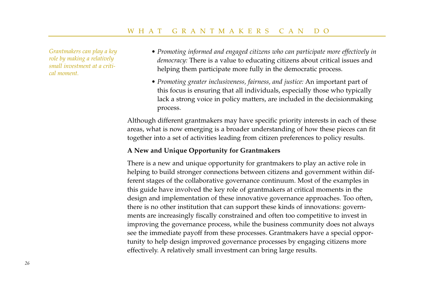*Grantmakers can play a key role by making a relatively small investment at a critical moment.*

- *Promoting informed and engaged citizens who can participate more effectively in democracy:* There is a value to educating citizens about critical issues and helping them participate more fully in the democratic process.
- *Promoting greater inclusiveness, fairness, and justice:* An important part of this focus is ensuring that all individuals, especially those who typically lack a strong voice in policy matters, are included in the decisionmaking process.

Although different grantmakers may have specific priority interests in each of these areas, what is now emerging is a broader understanding of how these pieces can fit together into a set of activities leading from citizen preferences to policy results.

# **A New and Unique Opportunity for Grantmakers**

There is a new and unique opportunity for grantmakers to play an active role in helping to build stronger connections between citizens and government within different stages of the collaborative governance continuum. Most of the examples in this guide have involved the key role of grantmakers at critical moments in the design and implementation of these innovative governance approaches. Too often, there is no other institution that can support these kinds of innovations: governments are increasingly fiscally constrained and often too competitive to invest in improving the governance process, while the business community does not always see the immediate payoff from these processes. Grantmakers have a special opportunity to help design improved governance processes by engaging citizens more effectively. A relatively small investment can bring large results.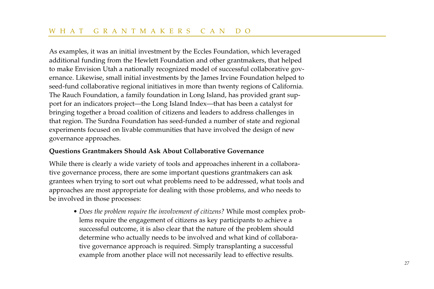As examples, it was an initial investment by the Eccles Foundation, which leveraged additional funding from the Hewlett Foundation and other grantmakers, that helped to make Envision Utah a nationally recognized model of successful collaborative governance. Likewise, small initial investments by the James Irvine Foundation helped to seed-fund collaborative regional initiatives in more than twenty regions of California. The Rauch Foundation, a family foundation in Long Island, has provided grant support for an indicators project—the Long Island Index—that has been a catalyst for bringing together a broad coalition of citizens and leaders to address challenges in that region. The Surdna Foundation has seed-funded a number of state and regional experiments focused on livable communities that have involved the design of new governance approaches.

#### **Questions Grantmakers Should Ask About Collaborative Governance**

While there is clearly a wide variety of tools and approaches inherent in a collaborative governance process, there are some important questions grantmakers can ask grantees when trying to sort out what problems need to be addressed, what tools and approaches are most appropriate for dealing with those problems, and who needs to be involved in those processes:

• *Does the problem require the involvement of citizens?* While most complex problems require the engagement of citizens as key participants to achieve a successful outcome, it is also clear that the nature of the problem should determine who actually needs to be involved and what kind of collaborative governance approach is required. Simply transplanting a successful example from another place will not necessarily lead to effective results.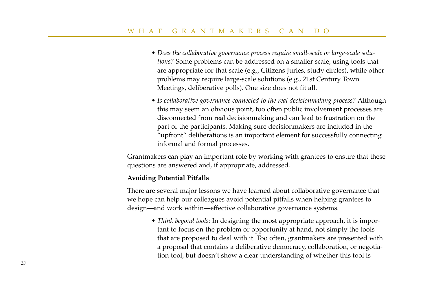- *Does the collaborative governance process require small-scale or large-scale solutions?* Some problems can be addressed on a smaller scale, using tools that are appropriate for that scale (e.g., Citizens Juries, study circles), while other problems may require large-scale solutions (e.g., 21st Century Town Meetings, deliberative polls). One size does not fit all.
- *Is collaborative governance connected to the real decisionmaking process?* Although this may seem an obvious point, too often public involvement processes are disconnected from real decisionmaking and can lead to frustration on the part of the participants. Making sure decisionmakers are included in the "upfront" deliberations is an important element for successfully connecting informal and formal processes.

Grantmakers can play an important role by working with grantees to ensure that these questions are answered and, if appropriate, addressed.

#### **Avoiding Potential Pitfalls**

There are several major lessons we have learned about collaborative governance that we hope can help our colleagues avoid potential pitfalls when helping grantees to design—and work within—effective collaborative governance systems.

• *Think beyond tools:* In designing the most appropriate approach, it is important to focus on the problem or opportunity at hand, not simply the tools that are proposed to deal with it. Too often, grantmakers are presented with a proposal that contains a deliberative democracy, collaboration, or negotiation tool, but doesn't show a clear understanding of whether this tool is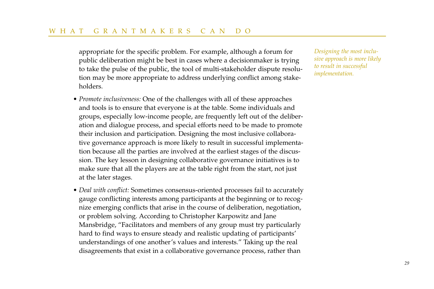appropriate for the specific problem. For example, although a forum for public deliberation might be best in cases where a decisionmaker is trying to take the pulse of the public, the tool of multi-stakeholder dispute resolution may be more appropriate to address underlying conflict among stakeholders.

- *Promote inclusiveness:* One of the challenges with all of these approaches and tools is to ensure that everyone is at the table. Some individuals and groups, especially low-income people, are frequently left out of the deliberation and dialogue process, and special efforts need to be made to promote their inclusion and participation. Designing the most inclusive collaborative governance approach is more likely to result in successful implementation because all the parties are involved at the earliest stages of the discussion. The key lesson in designing collaborative governance initiatives is to make sure that all the players are at the table right from the start, not just at the later stages.
- *Deal with conflict:* Sometimes consensus-oriented processes fail to accurately gauge conflicting interests among participants at the beginning or to recognize emerging conflicts that arise in the course of deliberation, negotiation, or problem solving. According to Christopher Karpowitz and Jane Mansbridge, "Facilitators and members of any group must try particularly hard to find ways to ensure steady and realistic updating of participants' understandings of one another's values and interests." Taking up the real disagreements that exist in a collaborative governance process, rather than

*Designing the most inclusive approach is more likely to result in successful implementation.*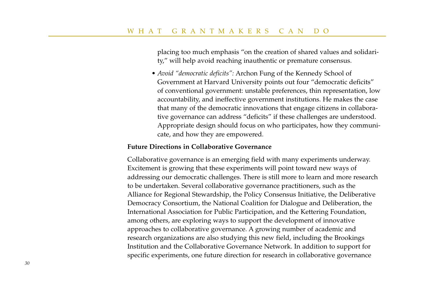placing too much emphasis "on the creation of shared values and solidarity," will help avoid reaching inauthentic or premature consensus.

• *Avoid "democratic deficits":* Archon Fung of the Kennedy School of Government at Harvard University points out four "democratic deficits" of conventional government: unstable preferences, thin representation, low accountability, and ineffective government institutions. He makes the case that many of the democratic innovations that engage citizens in collaborative governance can address "deficits" if these challenges are understood. Appropriate design should focus on who participates, how they communicate, and how they are empowered.

#### **Future Directions in Collaborative Governance**

Collaborative governance is an emerging field with many experiments underway. Excitement is growing that these experiments will point toward new ways of addressing our democratic challenges. There is still more to learn and more research to be undertaken. Several collaborative governance practitioners, such as the Alliance for Regional Stewardship, the Policy Consensus Initiative, the Deliberative Democracy Consortium, the National Coalition for Dialogue and Deliberation, the International Association for Public Participation, and the Kettering Foundation, among others, are exploring ways to support the development of innovative approaches to collaborative governance. A growing number of academic and research organizations are also studying this new field, including the Brookings Institution and the Collaborative Governance Network. In addition to support for specific experiments, one future direction for research in collaborative governance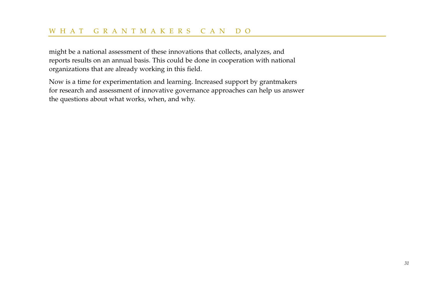might be a national assessment of these innovations that collects, analyzes, and reports results on an annual basis. This could be done in cooperation with national organizations that are already working in this field.

Now is a time for experimentation and learning. Increased support by grantmakers for research and assessment of innovative governance approaches can help us answer the questions about what works, when, and why.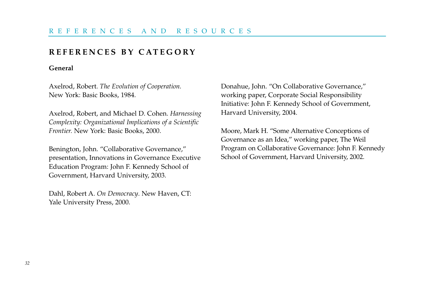# **REFERENCES BY CATEGORY**

#### **General**

Axelrod, Robert. *The Evolution of Cooperation.* New York: Basic Books, 1984.

Axelrod, Robert, and Michael D. Cohen. *Harnessing Complexity: Organizational Implications of a Scientific Frontier.* New York: Basic Books, 2000.

Benington, John. "Collaborative Governance," presentation, Innovations in Governance Executive Education Program: John F. Kennedy School of Government, Harvard University, 2003.

Dahl, Robert A. *On Democracy*. New Haven, CT: Yale University Press, 2000.

Donahue, John. "On Collaborative Governance," working paper, Corporate Social Responsibility Initiative: John F. Kennedy School of Government, Harvard University, 2004.

Moore, Mark H. "Some Alternative Conceptions of Governance as an Idea," working paper, The Weil Program on Collaborative Governance: John F. Kennedy School of Government, Harvard University, 2002.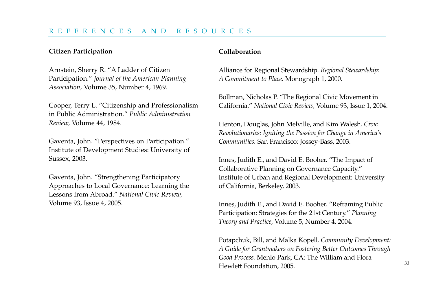#### **Citizen Participation**

Arnstein, Sherry R. "A Ladder of Citizen Participation." *Journal of the American Planning Association,* Volume 35, Number 4, 1969.

Cooper, Terry L. "Citizenship and Professionalism in Public Administration." *Public Administration Review,* Volume 44, 1984.

Gaventa, John. "Perspectives on Participation." Institute of Development Studies: University of Sussex, 2003.

Gaventa, John. "Strengthening Participatory Approaches to Local Governance: Learning the Lessons from Abroad." *National Civic Review,* Volume 93, Issue 4, 2005.

## **Collaboration**

Alliance for Regional Stewardship. *Regional Stewardship: A Commitment to Place.* Monograph 1, 2000.

Bollman, Nicholas P. "The Regional Civic Movement in California." *National Civic Review,* Volume 93, Issue 1, 2004.

Henton, Douglas, John Melville, and Kim Walesh. *Civic Revolutionaries: Igniting the Passion for Change in America's Communities.* San Francisco: Jossey-Bass, 2003.

Innes, Judith E., and David E. Booher. "The Impact of Collaborative Planning on Governance Capacity." Institute of Urban and Regional Development: University of California, Berkeley, 2003.

Innes, Judith E., and David E. Booher. "Reframing Public Participation: Strategies for the 21st Century." *Planning Theory and Practice,* Volume 5, Number 4, 2004.

Potapchuk, Bill, and Malka Kopell. *Community Development: A Guide for Grantmakers on Fostering Better Outcomes Through Good Process.* Menlo Park, CA: The William and Flora Hewlett Foundation, 2005.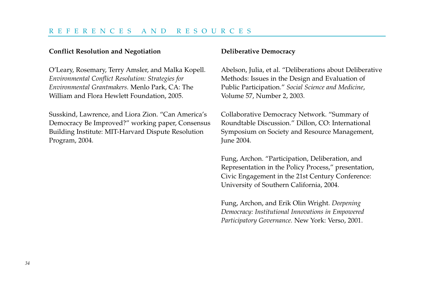## REFERENCES AND RESOURCES

#### **Conflict Resolution and Negotiation**

O'Leary, Rosemary, Terry Amsler, and Malka Kopell. *Environmental Conflict Resolution: Strategies for Environmental Grantmakers.* Menlo Park, CA: The William and Flora Hewlett Foundation, 2005.

Susskind, Lawrence, and Liora Zion. "Can America's Democracy Be Improved?" working paper, Consensus Building Institute: MIT-Harvard Dispute Resolution Program, 2004.

#### **Deliberative Democracy**

Abelson, Julia, et al. "Deliberations about Deliberative Methods: Issues in the Design and Evaluation of Public Participation." *Social Science and Medicine*, Volume 57, Number 2, 2003.

Collaborative Democracy Network. "Summary of Roundtable Discussion." Dillon, CO: International Symposium on Society and Resource Management, June 2004.

Fung, Archon. "Participation, Deliberation, and Representation in the Policy Process," presentation, Civic Engagement in the 21st Century Conference: University of Southern California, 2004.

Fung, Archon, and Erik Olin Wright. *Deepening Democracy: Institutional Innovations in Empowered Participatory Governance.* New York: Verso, 2001.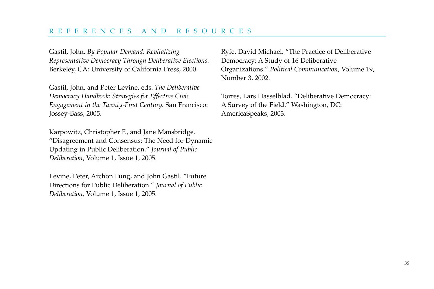# REFERENCES AND RESOURCES

Gastil, John. *By Popular Demand: Revitalizing Representative Democracy Through Deliberative Elections.* Berkeley, CA: University of California Press, 2000.

Gastil, John, and Peter Levine, eds. *The Deliberative Democracy Handbook: Strategies for Effective Civic Engagement in the Twenty-First Century.* San Francisco: Jossey-Bass, 2005.

Karpowitz, Christopher F., and Jane Mansbridge. "Disagreement and Consensus: The Need for Dynamic Updating in Public Deliberation." *Journal of Public Deliberation*, Volume 1, Issue 1, 2005.

Levine, Peter, Archon Fung, and John Gastil. "Future Directions for Public Deliberation." *Journal of Public Deliberation,* Volume 1, Issue 1, 2005.

Ryfe, David Michael. "The Practice of Deliberative Democracy: A Study of 16 Deliberative Organizations." *Political Communication,* Volume 19, Number 3, 2002.

Torres, Lars Hasselblad. "Deliberative Democracy: A Survey of the Field." Washington, DC: AmericaSpeaks, 2003.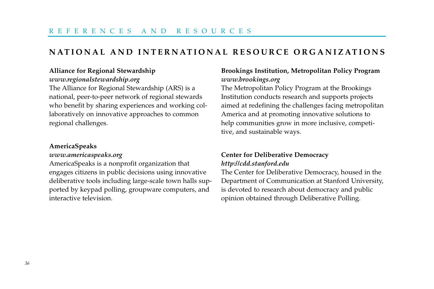# **NATIONAL AND INTERNATIONAL RESOURCE ORGANIZATIONS**

# **Alliance for Regional Stewardship**

# *www.regionalstewardship.org*

The Alliance for Regional Stewardship (ARS) is a national, peer-to-peer network of regional stewards who benefit by sharing experiences and working collaboratively on innovative approaches to common regional challenges.

#### **AmericaSpeaks**

#### *www.americaspeaks.org*

AmericaSpeaks is a nonprofit organization that engages citizens in public decisions using innovative deliberative tools including large-scale town halls supported by keypad polling, groupware computers, and interactive television.

# **Brookings Institution, Metropolitan Policy Program** *www.brookings.org*

The Metropolitan Policy Program at the Brookings Institution conducts research and supports projects aimed at redefining the challenges facing metropolitan America and at promoting innovative solutions to help communities grow in more inclusive, competitive, and sustainable ways.

# **Center for Deliberative Democracy** *http://cdd.stanford.edu*

The Center for Deliberative Democracy, housed in the Department of Communication at Stanford University, is devoted to research about democracy and public opinion obtained through Deliberative Polling.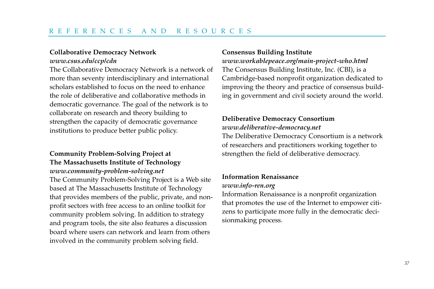#### **Collaborative Democracy Network**

#### *www.csus.edu/ccp/cdn*

The Collaborative Democracy Network is a network of more than seventy interdisciplinary and international scholars established to focus on the need to enhance the role of deliberative and collaborative methods in democratic governance. The goal of the network is to collaborate on research and theory building to strengthen the capacity of democratic governance institutions to produce better public policy.

# **Community Problem-Solving Project at The Massachusetts Institute of Technology** *www.community-problem-solving.net*

The Community Problem-Solving Project is a Web site based at The Massachusetts Institute of Technology that provides members of the public, private, and nonprofit sectors with free access to an online toolkit for community problem solving. In addition to strategy and program tools, the site also features a discussion board where users can network and learn from others involved in the community problem solving field.

#### **Consensus Building Institute**

*www.workablepeace.org/main-project-who.html* The Consensus Building Institute, Inc. (CBI), is a Cambridge-based nonprofit organization dedicated to improving the theory and practice of consensus building in government and civil society around the world.

# **Deliberative Democracy Consortium**

## *www.deliberative-democracy.net*

The Deliberative Democracy Consortium is a network of researchers and practitioners working together to strengthen the field of deliberative democracy.

# **Information Renaissance**

# *www.info-ren.org*

Information Renaissance is a nonprofit organization that promotes the use of the Internet to empower citizens to participate more fully in the democratic decisionmaking process.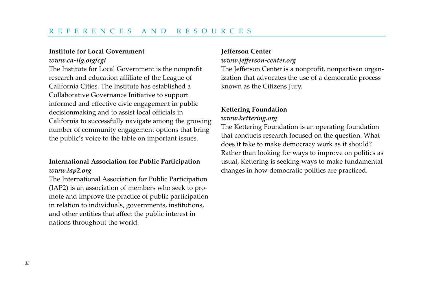#### **Institute for Local Government**

*www.ca-ilg.org/cgi*

The Institute for Local Government is the nonprofit research and education affiliate of the League of California Cities. The Institute has established a Collaborative Governance Initiative to support informed and effective civic engagement in public decisionmaking and to assist local officials in California to successfully navigate among the growing number of community engagement options that bring the public's voice to the table on important issues.

# **International Association for Public Participation** *www.iap2.org*

The International Association for Public Participation (IAP2) is an association of members who seek to promote and improve the practice of public participation in relation to individuals, governments, institutions, and other entities that affect the public interest in nations throughout the world.

# **Jefferson Center**

#### *www.jefferson-center.org*

The Jefferson Center is a nonprofit, nonpartisan organization that advocates the use of a democratic process known as the Citizens Jury.

# **Kettering Foundation** *www.kettering.org*

The Kettering Foundation is an operating foundation that conducts research focused on the question: What does it take to make democracy work as it should? Rather than looking for ways to improve on politics as usual, Kettering is seeking ways to make fundamental changes in how democratic politics are practiced.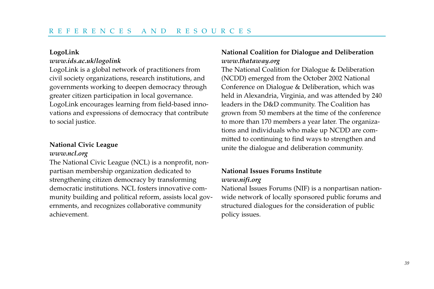#### **LogoLink**

# *www.ids.ac.uk/logolink*

LogoLink is a global network of practitioners from civil society organizations, research institutions, and governments working to deepen democracy through greater citizen participation in local governance. LogoLink encourages learning from field-based innovations and expressions of democracy that contribute to social justice.

# **National Civic League**

#### *www.ncl.org*

The National Civic League (NCL) is a nonprofit, nonpartisan membership organization dedicated to strengthening citizen democracy by transforming democratic institutions. NCL fosters innovative community building and political reform, assists local governments, and recognizes collaborative community achievement.

# **National Coalition for Dialogue and Deliberation** *www.thataway.org*

The National Coalition for Dialogue & Deliberation (NCDD) emerged from the October 2002 National Conference on Dialogue & Deliberation, which was held in Alexandria, Virginia, and was attended by 240 leaders in the D&D community. The Coalition has grown from 50 members at the time of the conference to more than 170 members a year later. The organizations and individuals who make up NCDD are committed to continuing to find ways to strengthen and unite the dialogue and deliberation community.

# **National Issues Forums Institute** *www.nifi.org*

National Issues Forums (NIF) is a nonpartisan nationwide network of locally sponsored public forums and structured dialogues for the consideration of public policy issues.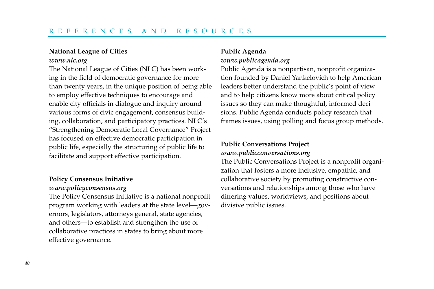# **National League of Cities**  *www.nlc.org*

The National League of Cities (NLC) has been working in the field of democratic governance for more than twenty years, in the unique position of being able to employ effective techniques to encourage and enable city officials in dialogue and inquiry around various forms of civic engagement, consensus building, collaboration, and participatory practices. NLC's "Strengthening Democratic Local Governance" Project has focused on effective democratic participation in public life, especially the structuring of public life to facilitate and support effective participation.

# **Policy Consensus Initiative**

#### *www.policyconsensus.org*

The Policy Consensus Initiative is a national nonprofit program working with leaders at the state level—governors, legislators, attorneys general, state agencies, and others—to establish and strengthen the use of collaborative practices in states to bring about more effective governance.

# **Public Agenda** *www.publicagenda.org*

Public Agenda is a nonpartisan, nonprofit organization founded by Daniel Yankelovich to help American leaders better understand the public's point of view and to help citizens know more about critical policy issues so they can make thoughtful, informed decisions. Public Agenda conducts policy research that frames issues, using polling and focus group methods.

# **Public Conversations Project** *www.publicconversations.org*

The Public Conversations Project is a nonprofit organization that fosters a more inclusive, empathic, and collaborative society by promoting constructive conversations and relationships among those who have differing values, worldviews, and positions about divisive public issues.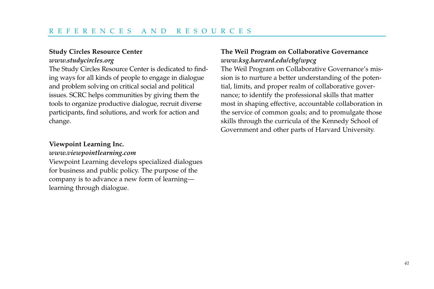# **Study Circles Resource Center** *www.studycircles.org*

The Study Circles Resource Center is dedicated to finding ways for all kinds of people to engage in dialogue and problem solving on critical social and political issues. SCRC helps communities by giving them the tools to organize productive dialogue, recruit diverse participants, find solutions, and work for action and change.

# **Viewpoint Learning Inc.**

#### *www.viewpointlearning.com*

Viewpoint Learning develops specialized dialogues for business and public policy. The purpose of the company is to advance a new form of learning learning through dialogue.

# **The Weil Program on Collaborative Governance** *www.ksg.harvard.edu/cbg/wpcg*

The Weil Program on Collaborative Governance's mission is to nurture a better understanding of the potential, limits, and proper realm of collaborative governance; to identify the professional skills that matter most in shaping effective, accountable collaboration in the service of common goals; and to promulgate those skills through the curricula of the Kennedy School of Government and other parts of Harvard University.